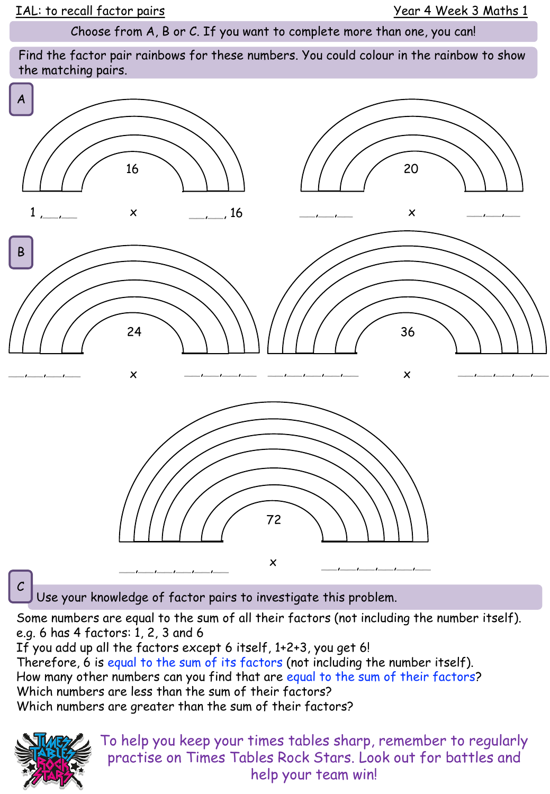Choose from A, B or C. If you want to complete more than one, you can!

Find the factor pair rainbows for these numbers. You could colour in the rainbow to show the matching pairs.



Some numbers are equal to the sum of all their factors (not including the number itself).

e.g. 6 has 4 factors: 1, 2, 3 and 6

If you add up all the factors except 6 itself, 1+2+3, you get 6! Therefore, 6 is equal to the sum of its factors (not including the number itself). How many other numbers can you find that are equal to the sum of their factors? Which numbers are less than the sum of their factors? Which numbers are greater than the sum of their factors?



To help you keep your times tables sharp, remember to regularly practise on Times Tables Rock Stars. Look out for battles and help your team win!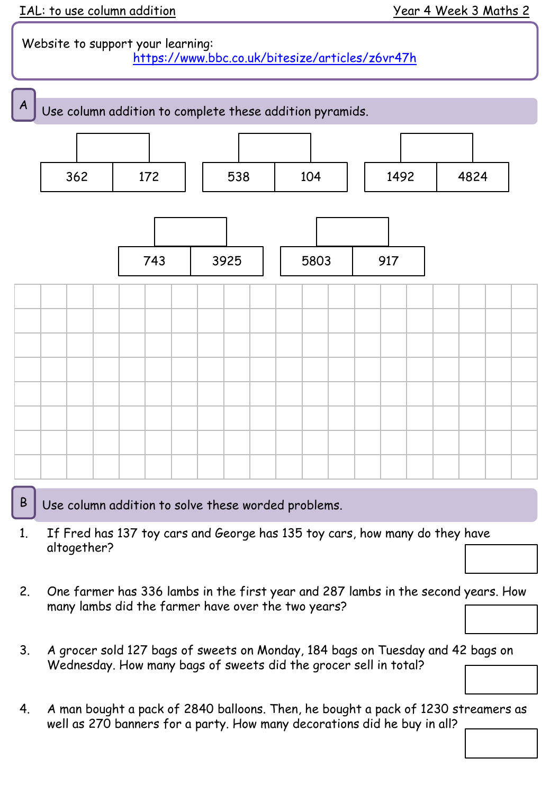## Website to support your learning: <https://www.bbc.co.uk/bitesize/articles/z6vr47h>



 $\mathsf{B}$  Use column addition to solve these worded problems.

- 1. If Fred has 137 toy cars and George has 135 toy cars, how many do they have altogether?
- 2. One farmer has 336 lambs in the first year and 287 lambs in the second years. How many lambs did the farmer have over the two years?
- 3. A grocer sold 127 bags of sweets on Monday, 184 bags on Tuesday and 42 bags on Wednesday. How many bags of sweets did the grocer sell in total?
- 4. A man bought a pack of 2840 balloons. Then, he bought a pack of 1230 streamers as well as 270 banners for a party. How many decorations did he buy in all?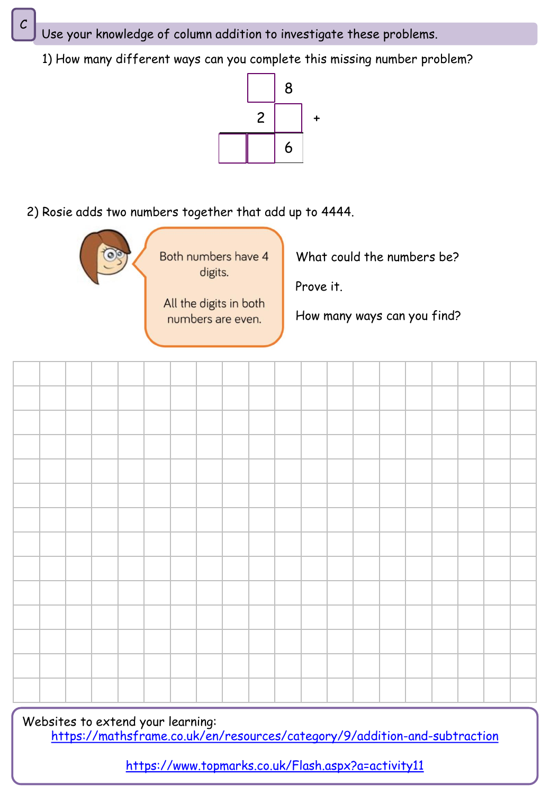Use your knowledge of column addition to investigate these problems.

1) How many different ways can you complete this missing number problem?



2) Rosie adds two numbers together that add up to 4444.



Both numbers have 4 digits.

All the digits in both numbers are even.

What could the numbers be?

Prove it.

How many ways can you find?

Websites to extend your learning: <https://mathsframe.co.uk/en/resources/category/9/addition-and-subtraction>

<https://www.topmarks.co.uk/Flash.aspx?a=activity11>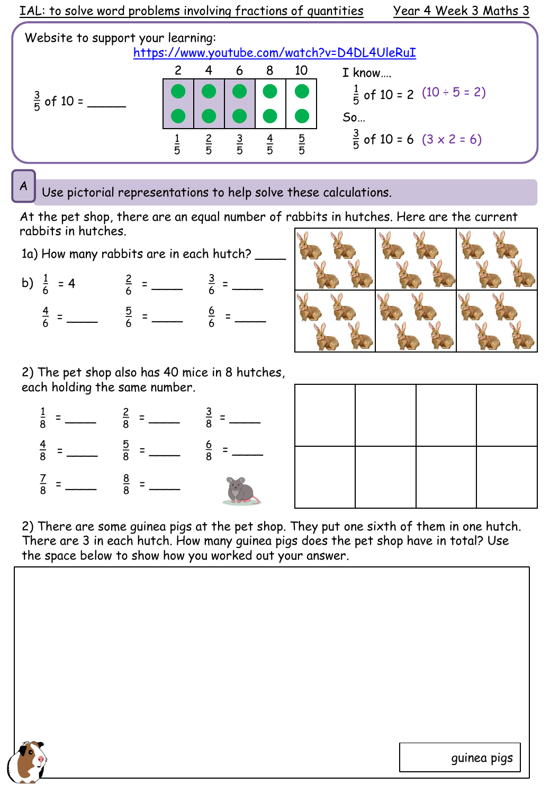

Use pictorial representations to help solve these calculations.

At the pet shop, there are an equal number of rabbits in hutches. Here are the current rabbits in hutches.

1a) How many rabbits are in each hutch?

b)  $\frac{1}{6}$  <u>3</u>  $= 4$   $= 4$   $= 4$   $= 4$   $= 4$   $= 4$   $= 4$   $= 4$   $= 4$   $= 4$   $= 4$   $= 4$   $= 4$   $= 4$   $= 4$   $= 4$   $= 4$   $= 4$   $= 4$   $= 4$   $= 4$   $= 4$   $= 4$   $= 4$   $= 4$   $= 4$   $= 4$   $= 4$   $= 4$   $= 4$   $= 4$   $= 4$   $= 4$   $= 4$   $= 4$   $= 4$   $= 4$  $\overline{4}$   $=$   $\frac{5}{6}$   $=$   $\frac{8}{6}$   $=$   $\frac{8}{6}$   $=$   $\frac{2}{3}$ 



2) The pet shop also has 40 mice in 8 hutches, each holding the same number.



2) There are some guinea pigs at the pet shop. They put one sixth of them in one hutch. There are 3 in each hutch. How many guinea pigs does the pet shop have in total? Use the space below to show how you worked out your answer.



guinea pigs